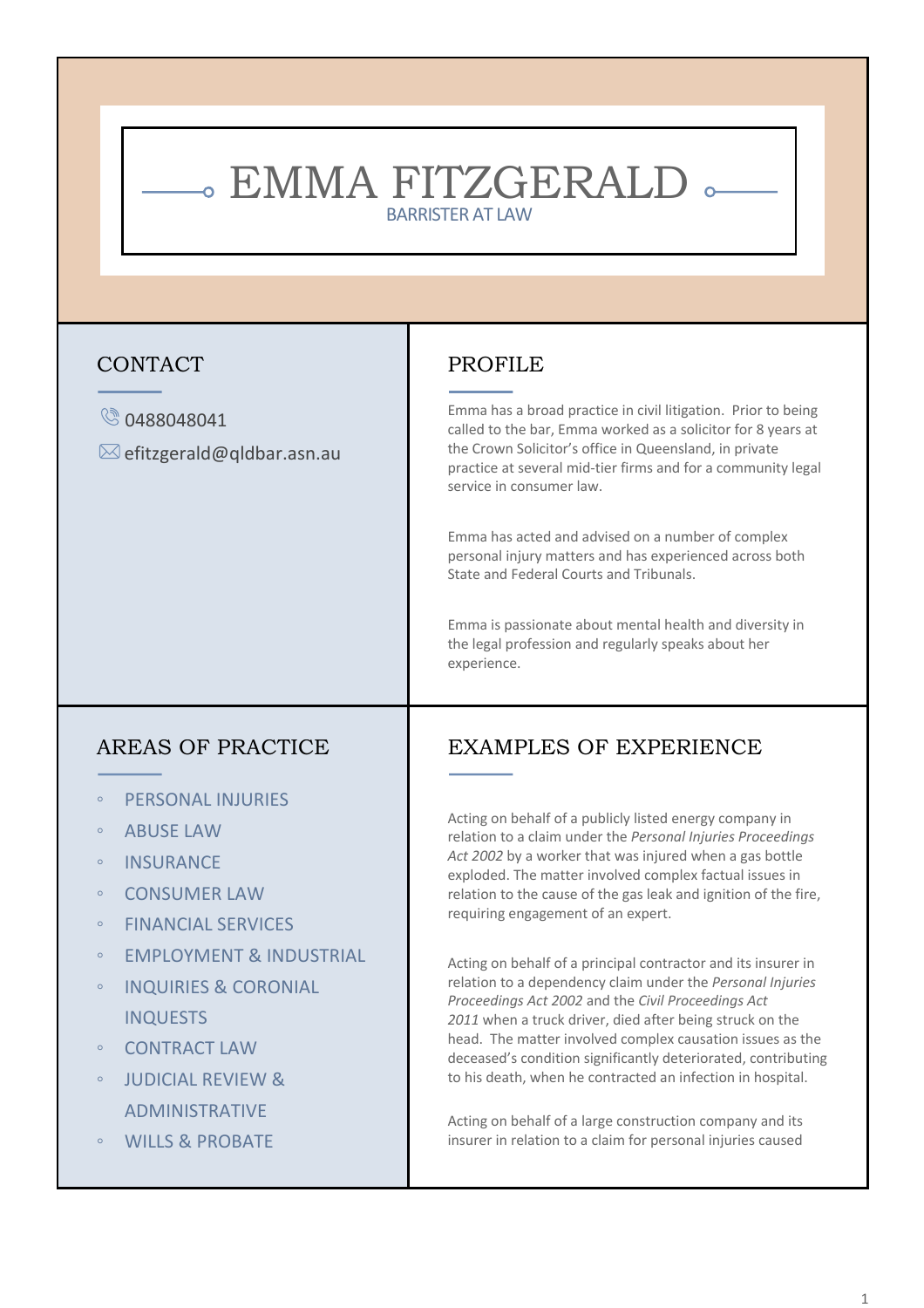# - EMMA FITZGERALD -BARRISTER AT LAW

### CONTACT

#### Co488048041

 $\boxtimes$  efitzgerald@qldbar.asn.au

# PROFILE

Emma has a broad practice in civil litigation. Prior to being called to the bar, Emma worked as a solicitor for 8 years at the Crown Solicitor's office in Queensland, in private practice at several mid-tier firms and for a community legal service in consumer law.

Emma has acted and advised on a number of complex personal injury matters and has experienced across both State and Federal Courts and Tribunals.

Emma is passionate about mental health and diversity in the legal profession and regularly speaks about her experience.

### AREAS OF PRACTICE

- PERSONAL INJURIES
- ABUSE LAW
- INSURANCE
- CONSUMER LAW
- FINANCIAL SERVICES
- EMPLOYMENT & INDUSTRIAL
- INQUIRIES & CORONIAL INQUESTS
- **CONTRACT LAW**
- JUDICIAL REVIEW & ADMINISTRATIVE
- WILLS & PROBATE

# EXAMPLES OF EXPERIENCE

Acting on behalf of a publicly listed energy company in relation to a claim under the *Personal Injuries Proceedings Act 2002* by a worker that was injured when a gas bottle exploded. The matter involved complex factual issues in relation to the cause of the gas leak and ignition of the fire, requiring engagement of an expert.

Acting on behalf of a principal contractor and its insurer in relation to a dependency claim under the *Personal Injuries Proceedings Act 2002* and the *Civil Proceedings Act 2011* when a truck driver, died after being struck on the head. The matter involved complex causation issues as the deceased's condition significantly deteriorated, contributing to his death, when he contracted an infection in hospital.

Acting on behalf of a large construction company and its insurer in relation to a claim for personal injuries caused